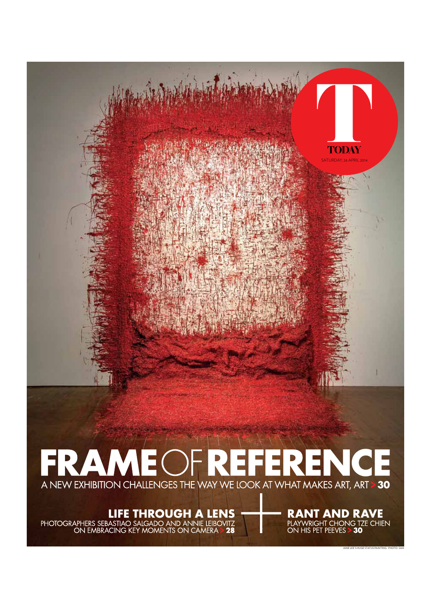

# A NEW EXHIBITION CHALLENGES THE WAY WE LOOK AT WHAT MAKES ART, ART > 30

**LIFE THROUGH A LENS<br>PHOTOGRAPHERS SEBASTIAO SALGADO AND ANNIE LEIBOVITZ<br>ON EMBRACING KEY MOMENTS ON CAMERA > 28** 

**RANT AND RAVE**<br>PLAYWRIGHT CHONG TZE CHIEN<br>ON HIS PET PEEVES > **30** 

JANE LEE'S HUGE STATUS PAINTING. PHOTO: SAM